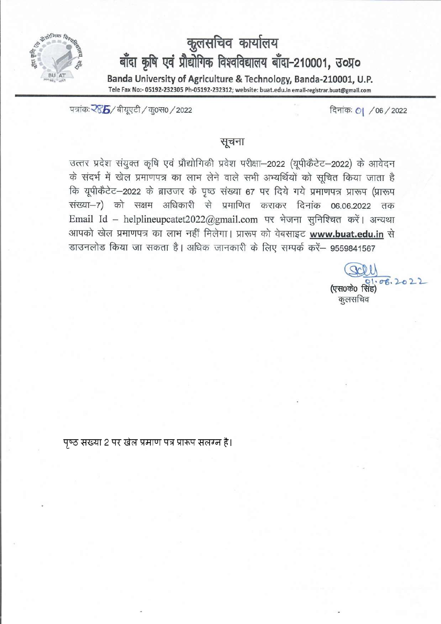

# कुलसचिव कार्यालय<br>बाँदा कृषि एवं प्रौद्योगिक विश्वविद्यालय बाँदा-210001, उ०प्र० Banda University of Agriculture & Technology, Banda-210001, U.P. Tele Fax No:- 05192-232305 Ph-05192-232312; website: buat.edu.in email-registrar.buat@gmail.com

दिनांकः 0| /06/2022

पत्रांकः रेडें 5/ बीयुएटी / कु0स0 / 2022

## सूचना

उत्तर प्रदेश संयुक्त कृषि एवं प्रौद्योगिकी प्रवेश परीक्षा-2022 (यूपीकैटेट-2022) के आवेदन के संदर्भ में खेल प्रमाणपत्र का लाभ लेने वाले सभी अभ्यर्थियों को सूचित किया जाता है कि यूपीकैटेट-2022 के ब्राउजर के पृष्ठ संख्या 67 पर दिये गये प्रमाणपत्र प्रारूप (प्रारूप संख्या-7) को सक्षम अधिकारी से प्रमाणित कराकर दिनांक 06.06.2022 तक Email Id - helplineupcatet2022@gmail.com पर भेजना सुनिश्चित करें। अन्यथा आपको खेल प्रमाणपत्र का लाभ नहीं मिलेगा। प्रारूप को वेबसाइट www.buat.edu.in से डाउनलोड किया जा सकता है। अधिक जानकारी के लिए सम्पर्क करें– 9559841567

कूलसचिव

पष्ठ संख्या 2 पर खेल प्रमाण पत्र प्रारूप संलग्न है।